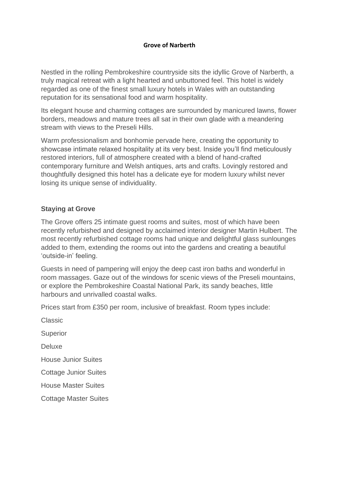## **Grove of Narberth**

Nestled in the rolling Pembrokeshire countryside sits the idyllic Grove of Narberth, a truly magical retreat with a light hearted and unbuttoned feel. This hotel is widely regarded as one of the finest small luxury hotels in Wales with an outstanding reputation for its sensational food and warm hospitality.

Its elegant house and charming cottages are surrounded by manicured lawns, flower borders, meadows and mature trees all sat in their own glade with a meandering stream with views to the Preseli Hills.

Warm professionalism and bonhomie pervade here, creating the opportunity to showcase intimate relaxed hospitality at its very best. Inside you'll find meticulously restored interiors, full of atmosphere created with a blend of hand-crafted contemporary furniture and Welsh antiques, arts and crafts. Lovingly restored and thoughtfully designed this hotel has a delicate eye for modern luxury whilst never losing its unique sense of individuality.

## **Staying at Grove**

The Grove offers 25 intimate guest rooms and suites, most of which have been recently refurbished and designed by acclaimed interior designer Martin Hulbert. The most recently refurbished cottage rooms had unique and delightful glass sunlounges added to them, extending the rooms out into the gardens and creating a beautiful 'outside-in' feeling.

Guests in need of pampering will enjoy the deep cast iron baths and wonderful in room massages. Gaze out of the windows for scenic views of the Preseli mountains, or explore the Pembrokeshire Coastal National Park, its sandy beaches, little harbours and unrivalled coastal walks.

Prices start from £350 per room, inclusive of breakfast. Room types include:

Classic Superior Deluxe House Junior Suites Cottage Junior Suites House Master Suites Cottage Master Suites